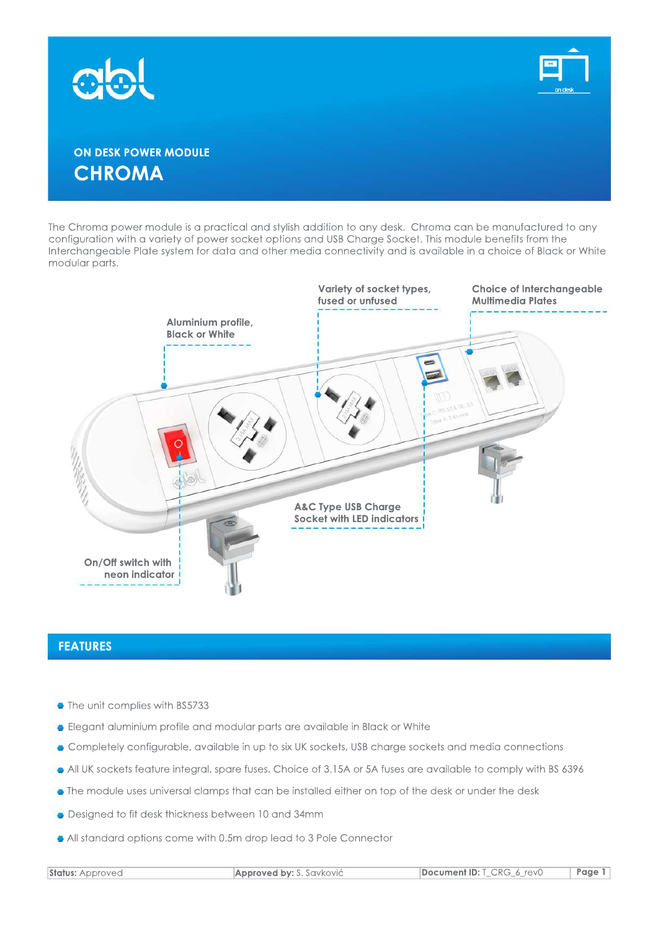



# **ON DESK POWER MODULE CHROMA**

The Chroma power module is a practical and stylish addition to any desk. Chroma can be manufactured to any configuration with a variety of power socket options and USB Charge Socket. This module benefits from the Interchangeable Plate system for data and other media connectivity and is available in a choice of Black or White modular parts.



#### **FEATURES**

- The unit complies with BS5733
- **•** Elegant aluminium profile and modular parts are available in Black or White
- Completely configurable, available in up to six UK sockets, USB charge sockets and media connections
- All UK sockets feature integral, spare fuses. Choice of 3.15A or 5A fuses are available to comply with BS 6396
- The module uses universal clamps that can be installed either on top of the desk or under the desk
- Designed to fit desk thickness between 10 and 34mm
- All standard options come with 0.5m drop lead to 3 Pole Connector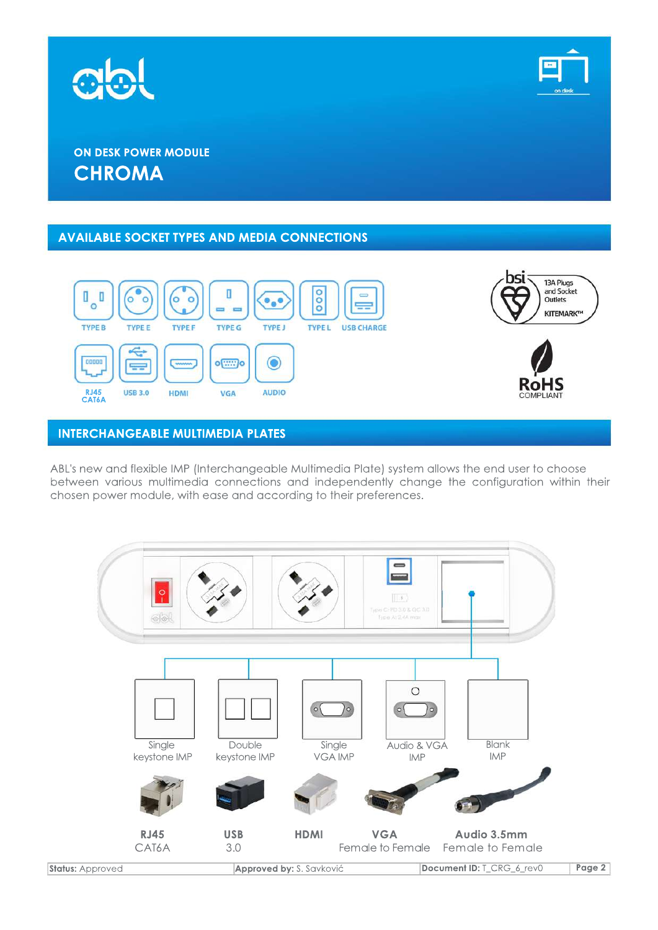



# **ON DESK POWER MODULE CHROMA**

### **AVAILABLE SOCKET TYPES AND MEDIA CONNECTIONS**



## **INTERCHANGEABLE MULTIMEDIA PLATES**

ABL's new and flexible IMP (Interchangeable Multimedia Plate) system allows the end user to choose between various multimedia connections and independently change the configuration within their chosen power module, with ease and according to their preferences.